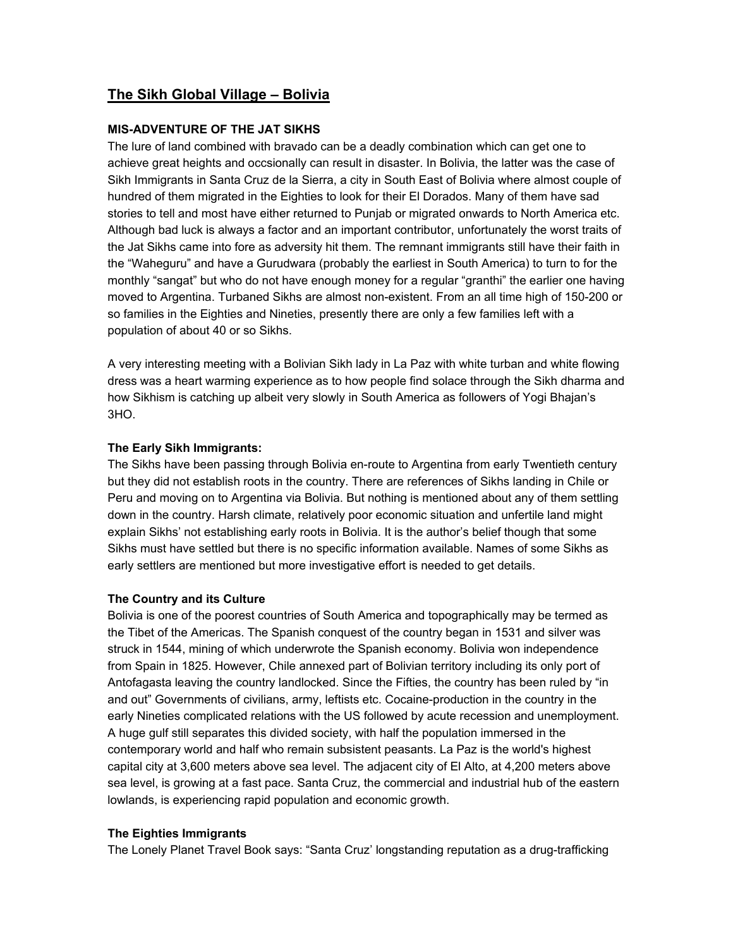# **The Sikh Global Village – Bolivia**

# **MIS-ADVENTURE OF THE JAT SIKHS**

The lure of land combined with bravado can be a deadly combination which can get one to achieve great heights and occsionally can result in disaster. In Bolivia, the latter was the case of Sikh Immigrants in Santa Cruz de la Sierra, a city in South East of Bolivia where almost couple of hundred of them migrated in the Eighties to look for their El Dorados. Many of them have sad stories to tell and most have either returned to Punjab or migrated onwards to North America etc. Although bad luck is always a factor and an important contributor, unfortunately the worst traits of the Jat Sikhs came into fore as adversity hit them. The remnant immigrants still have their faith in the "Waheguru" and have a Gurudwara (probably the earliest in South America) to turn to for the monthly "sangat" but who do not have enough money for a regular "granthi" the earlier one having moved to Argentina. Turbaned Sikhs are almost non-existent. From an all time high of 150-200 or so families in the Eighties and Nineties, presently there are only a few families left with a population of about 40 or so Sikhs.

A very interesting meeting with a Bolivian Sikh lady in La Paz with white turban and white flowing dress was a heart warming experience as to how people find solace through the Sikh dharma and how Sikhism is catching up albeit very slowly in South America as followers of Yogi Bhajan's 3HO.

# **The Early Sikh Immigrants:**

The Sikhs have been passing through Bolivia en-route to Argentina from early Twentieth century but they did not establish roots in the country. There are references of Sikhs landing in Chile or Peru and moving on to Argentina via Bolivia. But nothing is mentioned about any of them settling down in the country. Harsh climate, relatively poor economic situation and unfertile land might explain Sikhs' not establishing early roots in Bolivia. It is the author's belief though that some Sikhs must have settled but there is no specific information available. Names of some Sikhs as early settlers are mentioned but more investigative effort is needed to get details.

## **The Country and its Culture**

Bolivia is one of the poorest countries of South America and topographically may be termed as the Tibet of the Americas. The Spanish conquest of the country began in 1531 and silver was struck in 1544, mining of which underwrote the Spanish economy. Bolivia won independence from Spain in 1825. However, Chile annexed part of Bolivian territory including its only port of Antofagasta leaving the country landlocked. Since the Fifties, the country has been ruled by "in and out" Governments of civilians, army, leftists etc. Cocaine-production in the country in the early Nineties complicated relations with the US followed by acute recession and unemployment. A huge gulf still separates this divided society, with half the population immersed in the contemporary world and half who remain subsistent peasants. La Paz is the world's highest capital city at 3,600 meters above sea level. The adjacent city of El Alto, at 4,200 meters above sea level, is growing at a fast pace. Santa Cruz, the commercial and industrial hub of the eastern lowlands, is experiencing rapid population and economic growth.

## **The Eighties Immigrants**

The Lonely Planet Travel Book says: "Santa Cruz' longstanding reputation as a drug-trafficking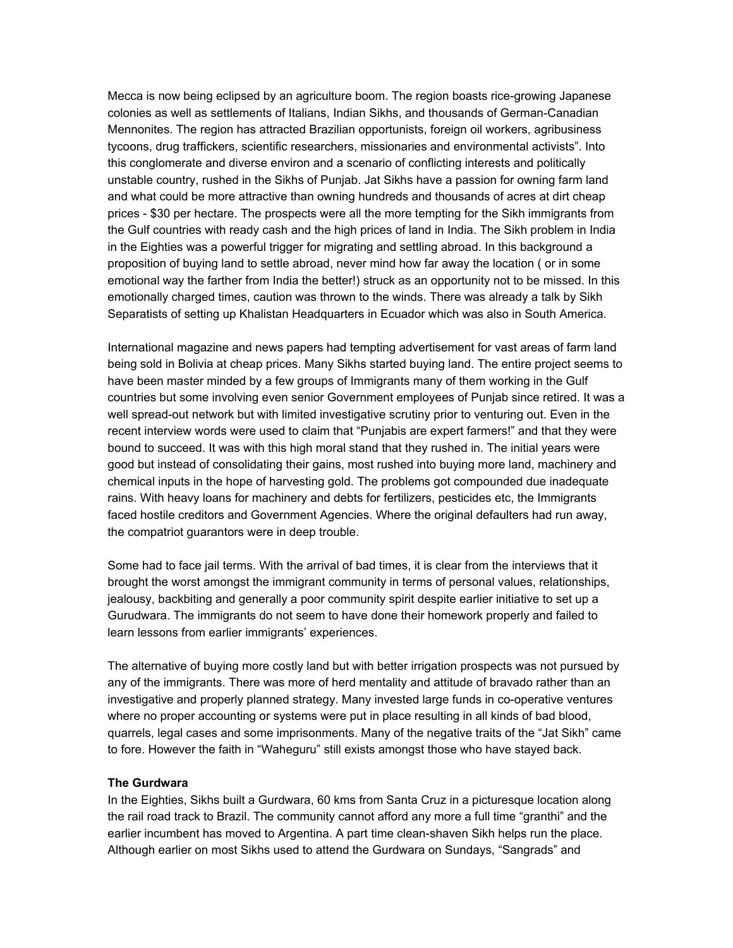Mecca is now being eclipsed by an agriculture boom. The region boasts rice-growing Japanese colonies as well as settlements of Italians, Indian Sikhs, and thousands of German-Canadian Mennonites. The region has attracted Brazilian opportunists, foreign oil workers, agribusiness tycoons, drug traffickers, scientific researchers, missionaries and environmental activists". Into this conglomerate and diverse environ and a scenario of conflicting interests and politically unstable country, rushed in the Sikhs of Punjab. Jat Sikhs have a passion for owning farm land and what could be more attractive than owning hundreds and thousands of acres at dirt cheap prices - \$30 per hectare. The prospects were all the more tempting for the Sikh immigrants from the Gulf countries with ready cash and the high prices of land in India. The Sikh problem in India in the Eighties was a powerful trigger for migrating and settling abroad. In this background a proposition of buying land to settle abroad, never mind how far away the location ( or in some emotional way the farther from India the better!) struck as an opportunity not to be missed. In this emotionally charged times, caution was thrown to the winds. There was already a talk by Sikh Separatists of setting up Khalistan Headquarters in Ecuador which was also in South America.

International magazine and news papers had tempting advertisement for vast areas of farm land being sold in Bolivia at cheap prices. Many Sikhs started buying land. The entire project seems to have been master minded by a few groups of Immigrants many of them working in the Gulf countries but some involving even senior Government employees of Punjab since retired. It was a well spread-out network but with limited investigative scrutiny prior to venturing out. Even in the recent interview words were used to claim that "Punjabis are expert farmers!" and that they were bound to succeed. It was with this high moral stand that they rushed in. The initial years were good but instead of consolidating their gains, most rushed into buying more land, machinery and chemical inputs in the hope of harvesting gold. The problems got compounded due inadequate rains. With heavy loans for machinery and debts for fertilizers, pesticides etc, the Immigrants faced hostile creditors and Government Agencies. Where the original defaulters had run away, the compatriot guarantors were in deep trouble.

Some had to face jail terms. With the arrival of bad times, it is clear from the interviews that it brought the worst amongst the immigrant community in terms of personal values, relationships, jealousy, backbiting and generally a poor community spirit despite earlier initiative to set up a Gurudwara. The immigrants do not seem to have done their homework properly and failed to learn lessons from earlier immigrants' experiences.

The alternative of buying more costly land but with better irrigation prospects was not pursued by any of the immigrants. There was more of herd mentality and attitude of bravado rather than an investigative and properly planned strategy. Many invested large funds in co-operative ventures where no proper accounting or systems were put in place resulting in all kinds of bad blood, quarrels, legal cases and some imprisonments. Many of the negative traits of the "Jat Sikh" came to fore. However the faith in "Waheguru" still exists amongst those who have stayed back.

#### **The Gurdwara**

In the Eighties, Sikhs built a Gurdwara, 60 kms from Santa Cruz in a picturesque location along the rail road track to Brazil. The community cannot afford any more a full time "granthi" and the earlier incumbent has moved to Argentina. A part time clean-shaven Sikh helps run the place. Although earlier on most Sikhs used to attend the Gurdwara on Sundays, "Sangrads" and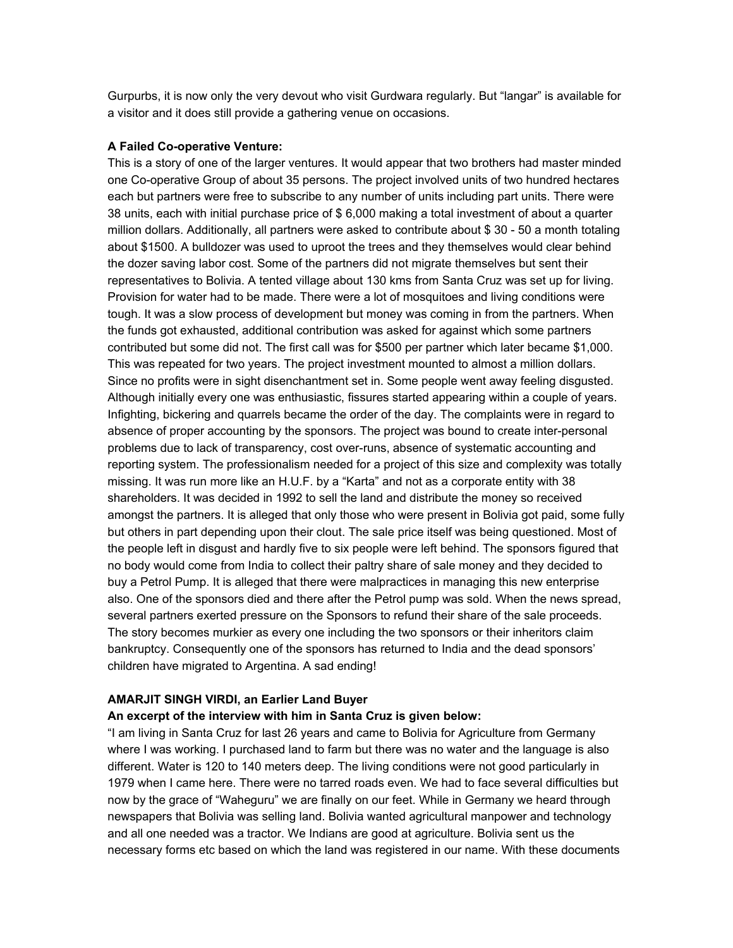Gurpurbs, it is now only the very devout who visit Gurdwara regularly. But "langar" is available for a visitor and it does still provide a gathering venue on occasions.

# **A Failed Co-operative Venture:**

This is a story of one of the larger ventures. It would appear that two brothers had master minded one Co-operative Group of about 35 persons. The project involved units of two hundred hectares each but partners were free to subscribe to any number of units including part units. There were 38 units, each with initial purchase price of \$ 6,000 making a total investment of about a quarter million dollars. Additionally, all partners were asked to contribute about \$ 30 - 50 a month totaling about \$1500. A bulldozer was used to uproot the trees and they themselves would clear behind the dozer saving labor cost. Some of the partners did not migrate themselves but sent their representatives to Bolivia. A tented village about 130 kms from Santa Cruz was set up for living. Provision for water had to be made. There were a lot of mosquitoes and living conditions were tough. It was a slow process of development but money was coming in from the partners. When the funds got exhausted, additional contribution was asked for against which some partners contributed but some did not. The first call was for \$500 per partner which later became \$1,000. This was repeated for two years. The project investment mounted to almost a million dollars. Since no profits were in sight disenchantment set in. Some people went away feeling disgusted. Although initially every one was enthusiastic, fissures started appearing within a couple of years. Infighting, bickering and quarrels became the order of the day. The complaints were in regard to absence of proper accounting by the sponsors. The project was bound to create inter-personal problems due to lack of transparency, cost over-runs, absence of systematic accounting and reporting system. The professionalism needed for a project of this size and complexity was totally missing. It was run more like an H.U.F. by a "Karta" and not as a corporate entity with 38 shareholders. It was decided in 1992 to sell the land and distribute the money so received amongst the partners. It is alleged that only those who were present in Bolivia got paid, some fully but others in part depending upon their clout. The sale price itself was being questioned. Most of the people left in disgust and hardly five to six people were left behind. The sponsors figured that no body would come from India to collect their paltry share of sale money and they decided to buy a Petrol Pump. It is alleged that there were malpractices in managing this new enterprise also. One of the sponsors died and there after the Petrol pump was sold. When the news spread, several partners exerted pressure on the Sponsors to refund their share of the sale proceeds. The story becomes murkier as every one including the two sponsors or their inheritors claim bankruptcy. Consequently one of the sponsors has returned to India and the dead sponsors' children have migrated to Argentina. A sad ending!

#### **AMARJIT SINGH VIRDI, an Earlier Land Buyer**

#### **An excerpt of the interview with him in Santa Cruz is given below:**

"I am living in Santa Cruz for last 26 years and came to Bolivia for Agriculture from Germany where I was working. I purchased land to farm but there was no water and the language is also different. Water is 120 to 140 meters deep. The living conditions were not good particularly in 1979 when I came here. There were no tarred roads even. We had to face several difficulties but now by the grace of "Waheguru" we are finally on our feet. While in Germany we heard through newspapers that Bolivia was selling land. Bolivia wanted agricultural manpower and technology and all one needed was a tractor. We Indians are good at agriculture. Bolivia sent us the necessary forms etc based on which the land was registered in our name. With these documents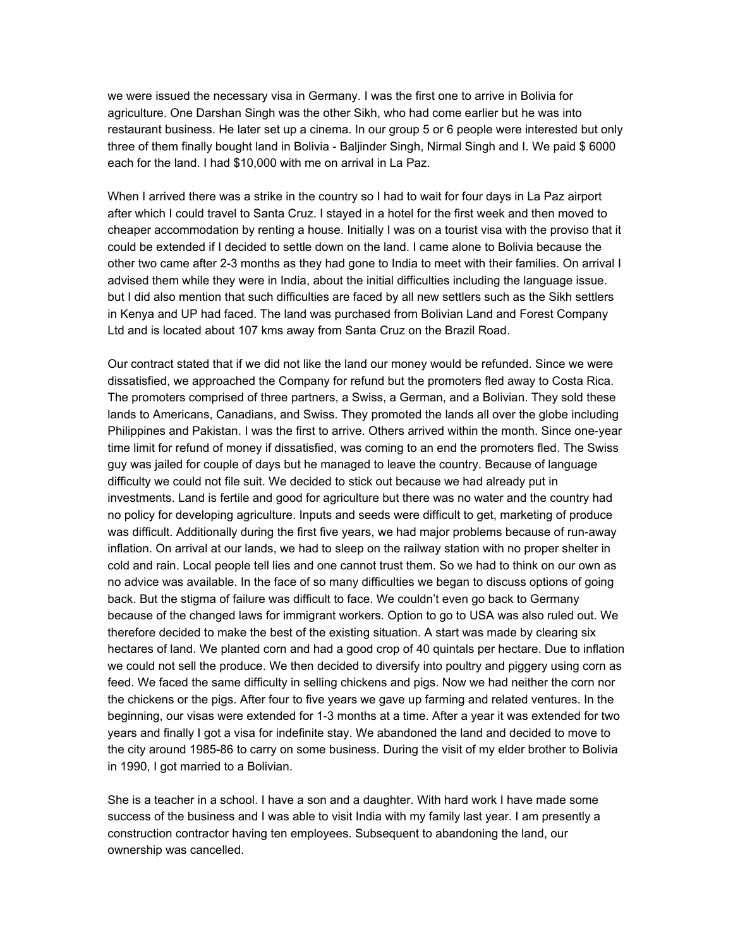we were issued the necessary visa in Germany. I was the first one to arrive in Bolivia for agriculture. One Darshan Singh was the other Sikh, who had come earlier but he was into restaurant business. He later set up a cinema. In our group 5 or 6 people were interested but only three of them finally bought land in Bolivia - Baljinder Singh, Nirmal Singh and I. We paid \$ 6000 each for the land. I had \$10,000 with me on arrival in La Paz.

When I arrived there was a strike in the country so I had to wait for four days in La Paz airport after which I could travel to Santa Cruz. I stayed in a hotel for the first week and then moved to cheaper accommodation by renting a house. Initially I was on a tourist visa with the proviso that it could be extended if I decided to settle down on the land. I came alone to Bolivia because the other two came after 2-3 months as they had gone to India to meet with their families. On arrival I advised them while they were in India, about the initial difficulties including the language issue. but I did also mention that such difficulties are faced by all new settlers such as the Sikh settlers in Kenya and UP had faced. The land was purchased from Bolivian Land and Forest Company Ltd and is located about 107 kms away from Santa Cruz on the Brazil Road.

Our contract stated that if we did not like the land our money would be refunded. Since we were dissatisfied, we approached the Company for refund but the promoters fled away to Costa Rica. The promoters comprised of three partners, a Swiss, a German, and a Bolivian. They sold these lands to Americans, Canadians, and Swiss. They promoted the lands all over the globe including Philippines and Pakistan. I was the first to arrive. Others arrived within the month. Since one-year time limit for refund of money if dissatisfied, was coming to an end the promoters fled. The Swiss guy was jailed for couple of days but he managed to leave the country. Because of language difficulty we could not file suit. We decided to stick out because we had already put in investments. Land is fertile and good for agriculture but there was no water and the country had no policy for developing agriculture. Inputs and seeds were difficult to get, marketing of produce was difficult. Additionally during the first five years, we had major problems because of run-away inflation. On arrival at our lands, we had to sleep on the railway station with no proper shelter in cold and rain. Local people tell lies and one cannot trust them. So we had to think on our own as no advice was available. In the face of so many difficulties we began to discuss options of going back. But the stigma of failure was difficult to face. We couldn't even go back to Germany because of the changed laws for immigrant workers. Option to go to USA was also ruled out. We therefore decided to make the best of the existing situation. A start was made by clearing six hectares of land. We planted corn and had a good crop of 40 quintals per hectare. Due to inflation we could not sell the produce. We then decided to diversify into poultry and piggery using corn as feed. We faced the same difficulty in selling chickens and pigs. Now we had neither the corn nor the chickens or the pigs. After four to five years we gave up farming and related ventures. In the beginning, our visas were extended for 1-3 months at a time. After a year it was extended for two years and finally I got a visa for indefinite stay. We abandoned the land and decided to move to the city around 1985-86 to carry on some business. During the visit of my elder brother to Bolivia in 1990, I got married to a Bolivian.

She is a teacher in a school. I have a son and a daughter. With hard work I have made some success of the business and I was able to visit India with my family last year. I am presently a construction contractor having ten employees. Subsequent to abandoning the land, our ownership was cancelled.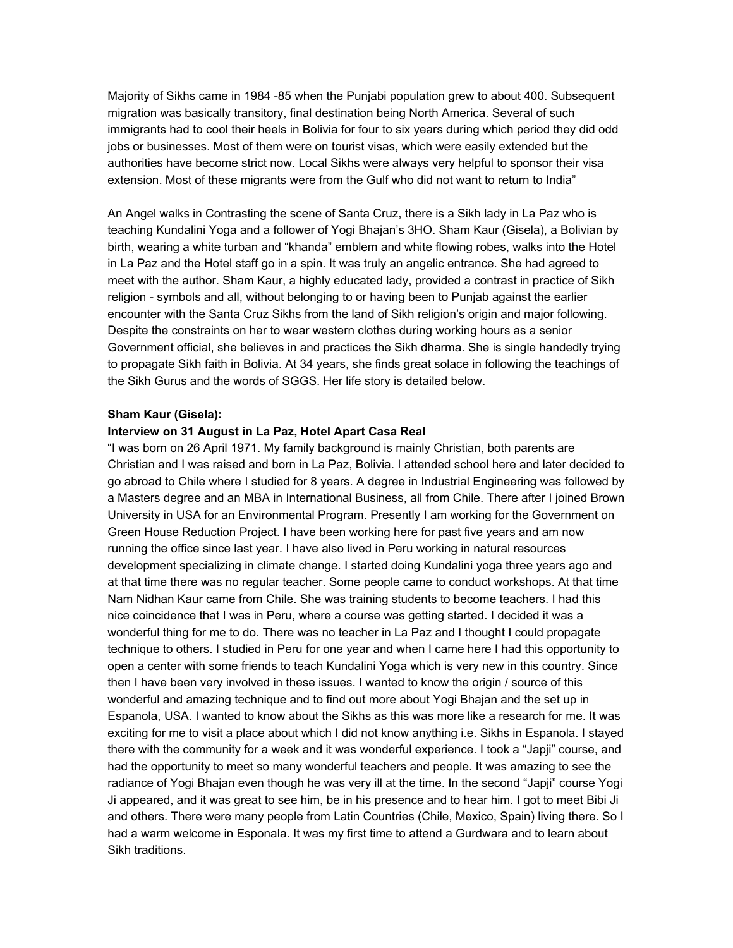Majority of Sikhs came in 1984 -85 when the Punjabi population grew to about 400. Subsequent migration was basically transitory, final destination being North America. Several of such immigrants had to cool their heels in Bolivia for four to six years during which period they did odd jobs or businesses. Most of them were on tourist visas, which were easily extended but the authorities have become strict now. Local Sikhs were always very helpful to sponsor their visa extension. Most of these migrants were from the Gulf who did not want to return to India"

An Angel walks in Contrasting the scene of Santa Cruz, there is a Sikh lady in La Paz who is teaching Kundalini Yoga and a follower of Yogi Bhajan's 3HO. Sham Kaur (Gisela), a Bolivian by birth, wearing a white turban and "khanda" emblem and white flowing robes, walks into the Hotel in La Paz and the Hotel staff go in a spin. It was truly an angelic entrance. She had agreed to meet with the author. Sham Kaur, a highly educated lady, provided a contrast in practice of Sikh religion - symbols and all, without belonging to or having been to Punjab against the earlier encounter with the Santa Cruz Sikhs from the land of Sikh religion's origin and major following. Despite the constraints on her to wear western clothes during working hours as a senior Government official, she believes in and practices the Sikh dharma. She is single handedly trying to propagate Sikh faith in Bolivia. At 34 years, she finds great solace in following the teachings of the Sikh Gurus and the words of SGGS. Her life story is detailed below.

### **Sham Kaur (Gisela):**

#### **Interview on 31 August in La Paz, Hotel Apart Casa Real**

"I was born on 26 April 1971. My family background is mainly Christian, both parents are Christian and I was raised and born in La Paz, Bolivia. I attended school here and later decided to go abroad to Chile where I studied for 8 years. A degree in Industrial Engineering was followed by a Masters degree and an MBA in International Business, all from Chile. There after I joined Brown University in USA for an Environmental Program. Presently I am working for the Government on Green House Reduction Project. I have been working here for past five years and am now running the office since last year. I have also lived in Peru working in natural resources development specializing in climate change. I started doing Kundalini yoga three years ago and at that time there was no regular teacher. Some people came to conduct workshops. At that time Nam Nidhan Kaur came from Chile. She was training students to become teachers. I had this nice coincidence that I was in Peru, where a course was getting started. I decided it was a wonderful thing for me to do. There was no teacher in La Paz and I thought I could propagate technique to others. I studied in Peru for one year and when I came here I had this opportunity to open a center with some friends to teach Kundalini Yoga which is very new in this country. Since then I have been very involved in these issues. I wanted to know the origin / source of this wonderful and amazing technique and to find out more about Yogi Bhajan and the set up in Espanola, USA. I wanted to know about the Sikhs as this was more like a research for me. It was exciting for me to visit a place about which I did not know anything i.e. Sikhs in Espanola. I stayed there with the community for a week and it was wonderful experience. I took a "Japji" course, and had the opportunity to meet so many wonderful teachers and people. It was amazing to see the radiance of Yogi Bhajan even though he was very ill at the time. In the second "Japji" course Yogi Ji appeared, and it was great to see him, be in his presence and to hear him. I got to meet Bibi Ji and others. There were many people from Latin Countries (Chile, Mexico, Spain) living there. So I had a warm welcome in Esponala. It was my first time to attend a Gurdwara and to learn about Sikh traditions.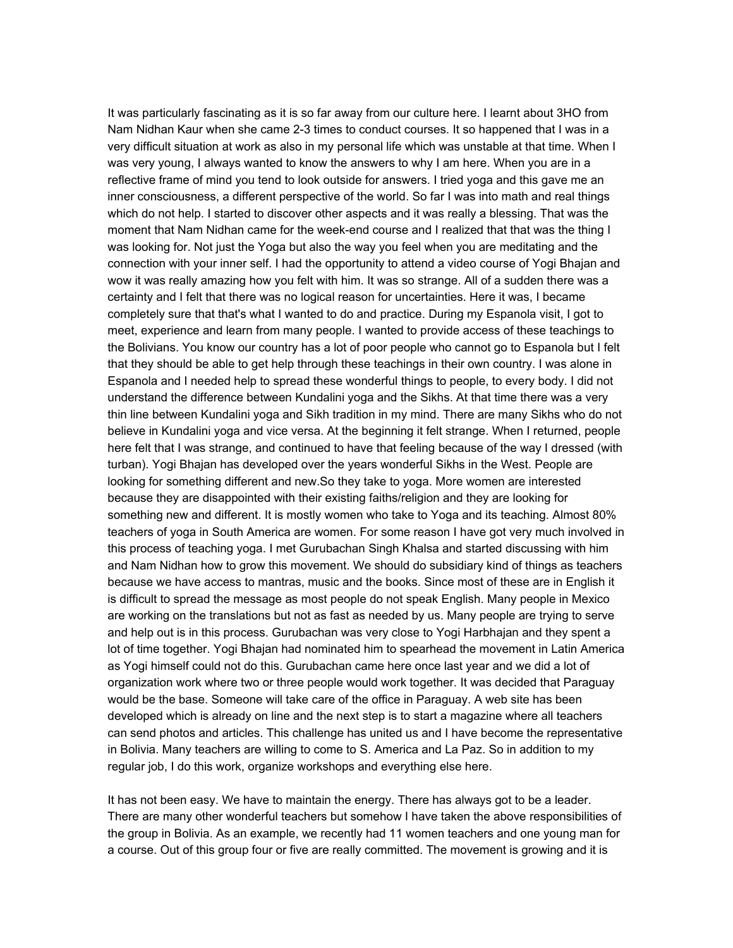It was particularly fascinating as it is so far away from our culture here. I learnt about 3HO from Nam Nidhan Kaur when she came 2-3 times to conduct courses. It so happened that I was in a very difficult situation at work as also in my personal life which was unstable at that time. When I was very young, I always wanted to know the answers to why I am here. When you are in a reflective frame of mind you tend to look outside for answers. I tried yoga and this gave me an inner consciousness, a different perspective of the world. So far I was into math and real things which do not help. I started to discover other aspects and it was really a blessing. That was the moment that Nam Nidhan came for the week-end course and I realized that that was the thing I was looking for. Not just the Yoga but also the way you feel when you are meditating and the connection with your inner self. I had the opportunity to attend a video course of Yogi Bhajan and wow it was really amazing how you felt with him. It was so strange. All of a sudden there was a certainty and I felt that there was no logical reason for uncertainties. Here it was, I became completely sure that that's what I wanted to do and practice. During my Espanola visit, I got to meet, experience and learn from many people. I wanted to provide access of these teachings to the Bolivians. You know our country has a lot of poor people who cannot go to Espanola but I felt that they should be able to get help through these teachings in their own country. I was alone in Espanola and I needed help to spread these wonderful things to people, to every body. I did not understand the difference between Kundalini yoga and the Sikhs. At that time there was a very thin line between Kundalini yoga and Sikh tradition in my mind. There are many Sikhs who do not believe in Kundalini yoga and vice versa. At the beginning it felt strange. When I returned, people here felt that I was strange, and continued to have that feeling because of the way I dressed (with turban). Yogi Bhajan has developed over the years wonderful Sikhs in the West. People are looking for something different and new.So they take to yoga. More women are interested because they are disappointed with their existing faiths/religion and they are looking for something new and different. It is mostly women who take to Yoga and its teaching. Almost 80% teachers of yoga in South America are women. For some reason I have got very much involved in this process of teaching yoga. I met Gurubachan Singh Khalsa and started discussing with him and Nam Nidhan how to grow this movement. We should do subsidiary kind of things as teachers because we have access to mantras, music and the books. Since most of these are in English it is difficult to spread the message as most people do not speak English. Many people in Mexico are working on the translations but not as fast as needed by us. Many people are trying to serve and help out is in this process. Gurubachan was very close to Yogi Harbhajan and they spent a lot of time together. Yogi Bhajan had nominated him to spearhead the movement in Latin America as Yogi himself could not do this. Gurubachan came here once last year and we did a lot of organization work where two or three people would work together. It was decided that Paraguay would be the base. Someone will take care of the office in Paraguay. A web site has been developed which is already on line and the next step is to start a magazine where all teachers can send photos and articles. This challenge has united us and I have become the representative in Bolivia. Many teachers are willing to come to S. America and La Paz. So in addition to my regular job, I do this work, organize workshops and everything else here.

It has not been easy. We have to maintain the energy. There has always got to be a leader. There are many other wonderful teachers but somehow I have taken the above responsibilities of the group in Bolivia. As an example, we recently had 11 women teachers and one young man for a course. Out of this group four or five are really committed. The movement is growing and it is